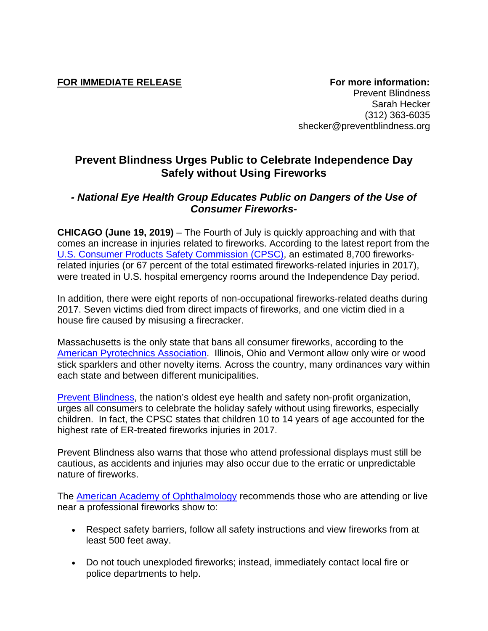**FOR IMMEDIATE RELEASE For more information:** Prevent Blindness Sarah Hecker (312) 363-6035 shecker@preventblindness.org

## **Prevent Blindness Urges Public to Celebrate Independence Day Safely without Using Fireworks**

## *- National Eye Health Group Educates Public on Dangers of the Use of Consumer Fireworks-*

**CHICAGO (June 19, 2019)** – The Fourth of July is quickly approaching and with that comes an increase in injuries related to fireworks. According to the latest report from the U.S. Consumer Products Safety Commission (CPSC), an estimated 8,700 fireworksrelated injuries (or 67 percent of the total estimated fireworks-related injuries in 2017), were treated in U.S. hospital emergency rooms around the Independence Day period.

In addition, there were eight reports of non-occupational fireworks-related deaths during 2017. Seven victims died from direct impacts of fireworks, and one victim died in a house fire caused by misusing a firecracker.

Massachusetts is the only state that bans all consumer fireworks, according to the American Pyrotechnics Association. Illinois, Ohio and Vermont allow only wire or wood stick sparklers and other novelty items. Across the country, many ordinances vary within each state and between different municipalities.

Prevent Blindness, the nation's oldest eye health and safety non-profit organization, urges all consumers to celebrate the holiday safely without using fireworks, especially children. In fact, the CPSC states that children 10 to 14 years of age accounted for the highest rate of ER-treated fireworks injuries in 2017.

Prevent Blindness also warns that those who attend professional displays must still be cautious, as accidents and injuries may also occur due to the erratic or unpredictable nature of fireworks.

The American Academy of Ophthalmology recommends those who are attending or live near a professional fireworks show to:

- Respect safety barriers, follow all safety instructions and view fireworks from at least 500 feet away.
- Do not touch unexploded fireworks; instead, immediately contact local fire or police departments to help.